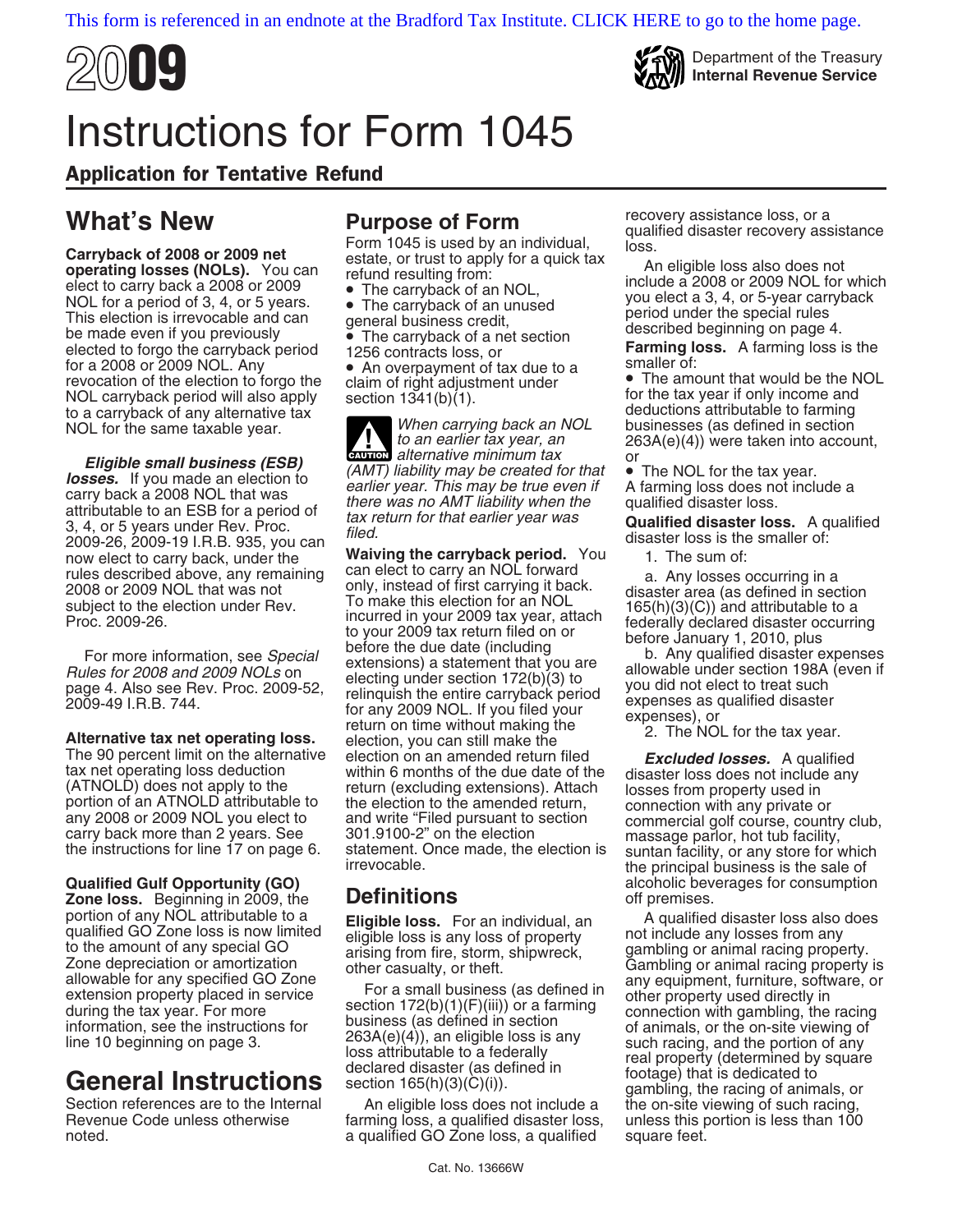



**2009 Department of the Treasury Department of the Treasury Internal Revenue Service** 

## Instructions for Form 1045

## Application for Tentative Refund

What's New Purpose of Form to a carryback of 2008 or 2009 net<br>
operating losses (NOLs). You can<br>
elect to carry back a 2008 or 2009 net elect to carry back a 2008 or 2009<br>
elect to carry back a 2008 or 2009<br>
election is ir

**Eligible small business (ESB)**<br> **Example the definition** alternative minimum tax<br> **losses.** If you made an election to<br>
carry back a 2008 NOL that was<br>
attributable to an ESB for a period of<br>
3, 4, or 5 years under Rev. P

**Zone loss.** Beginning in 2009, the portion of any NOL attributable to a

**CAUTION** and *CAUTION* alternative minimum tax or

now elect to carry back, under the **Waiving the carryback period.** You rules described above, any remaining can elect to carry an NOL forward rules described above, any remaining can elect to carry an NOL forward Conserved and case of 2009 NOL that was not<br>subject to the election under Rev. To make this election for an NOL subject to the election under Rev. To m

Section references are to the Internal An eligible loss does not include a the on-site viewing of such racing,<br>Revenue Code unless otherwise farming loss, a qualified disaster loss, unless this portion is less than 100 Revenue Code unless otherwise farming loss, a qualified disaster loss, noted.<br>
a qualified GO Zone loss, a qualified a qualified GO Zone loss, a qualified square feet.

to a carryback of any alternative tax<br>NOL for the same taxable year. When carrying back an NOL businesses (as defined in section<br>to an earlier tax year, an  $263A(e)(4)$ ) were taken into accou  $263A(e)(4)$ ) were taken into account,

**Qualified Gulf Opportunity (GO)**<br>**Zone loss.** Beginning in 2009, the **Definitions** entity of premises.

portion of any NOL attributable to a<br>
to the amount of any special GO<br>
dified GO Zone loss is any loss of property<br>
to the amount of any special GO<br>
zone depreciation or amortization<br>
allowable for any specified GO Zone<br>
a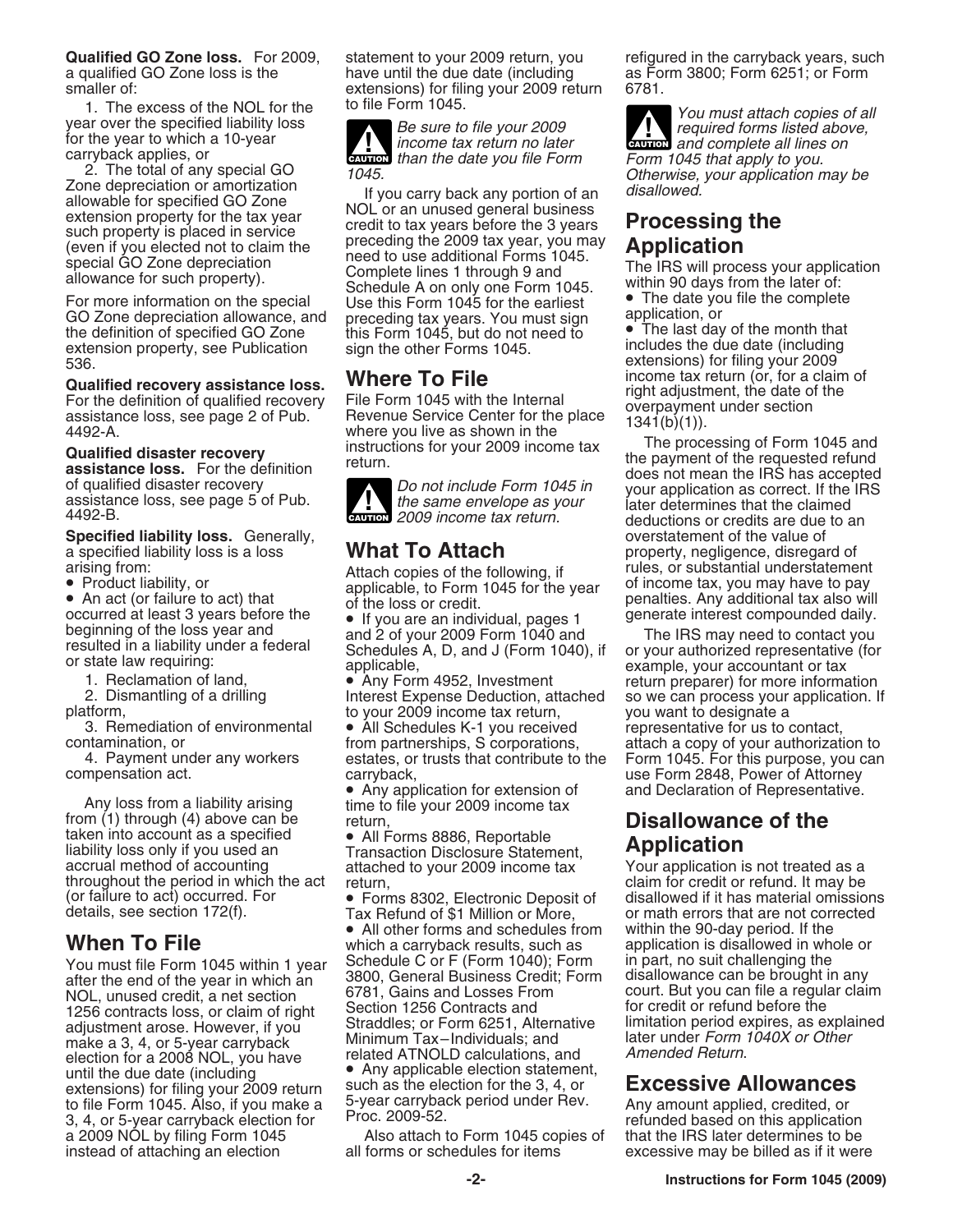1. The excess of the NOL for the to file Form 1045.<br>
year over the specified liability loss<br>
for the year to file your 2009<br> *Be sure to file your 2009*<br> *Be sure to file your 2009*<br> *Be sure to file your 2009*<br> *Reference* 

2. The total of any special GO<br>
Zone depreciation or amortization<br>
allowable for specified GO Zone<br>
extension property for the tax year<br>
such property is placed in service<br>
(even if you elected not to claim the<br>
special GO

the definition of specified GO Zone this Form 1045, but do not need to The last day of the month that extension property, see Publication sign the other Forms 1045. extension property, see Publication<br>536.

**Qualified recovery assistance loss.**<br>
For the definition of qualified recovery<br>
For the date of the section<br>
assistance loss, see page 2 of Pub.<br>
Revenue Service Center for the place<br>  $\frac{1341(b)(1)}{1341(b)(1)}$ .

**Specified liability loss.** Generally, **Conserventy of the value of the value of a specified liability loss is a loss <b>What To Attach** property, negligence, disregally a specified liability loss is a loss **What To Attach** property, negligence, disregard of arising from:<br>Attach copies of the following if **property**, or substantial understateme

Contamination, or the partnerships, S corporations,<br>
4. Payment under any workers<br>
compensation act.<br>
compensation act.<br>
Any loss from a liability arising<br>
from (1) through (4) above can be<br>
taken into account as a specif liability loss only if you used an Transaction Disclosure Statement, **Application**<br>accrual method of accounting attached to your 2009 income tax Your application is not treated as a<br>throughout the period in which the act r

NOL, unused credit, a net section 6781, Gains and Losses From court. But you can file a regular claim<br>1256 contracts loss or claim of right Section 1256 Contracts and for credit or refund before the make a 3, 4, or 5-year carryback Minimum Tax–Individuals; and later under Form 1040X or Other and 1040X or Oth<br>1040X olection for a 2008 NOL vou have leated ATNOLD calculations, and 1040 Amended Return. election for a 2008 NOL, you have until the due date (including  $\bullet$  Any applicable election statement,<br>extensions) for filing your 2009 return such as the election for the 3, 4, or extensions) for filing your 2009 return such as the election for the 3, 4, or **Excessive Allowances**<br>to file Form 1045. Also, if you make a 5-year carryback period under Rev. Any amount applied, credited, or to file Form 1045. Also, if you make a b-year carryback period under Hev. Any amount applied, credited, or<br>3, 4, or 5-year carryback election for Proc. 2009-52. 3, 4, or 5-year carryback election for refunded based on this application on this application on this application application application based on the application application application application application Promoto Bas

**Qualified GO Zone loss.** For 2009, statement to your 2009 return, you refigured in the carryback years, such a qualified GO Zone loss is the have until the due date (including and sa Form 3800; Form 6251; or Form and th<br>smaller of: extensions) for filing your 2009 return 6781. smaller of: extensions) for filing your 2009 return<br>1. The excess of the NOL for the to file Form 1045.

For the year to which a 10-year<br>carryback applies, or<br>**CAUTION** than the date you file Form Form 1045 that apply to you.

allowance for such property).<br>For more information on the special Use this Form 1045 for the earliest • The date you file the complete GO Zone depreciation allowance, and preceding tax years. You must sign application, or



**ENTION** 2009 income tax return.

• All other forms and schedules from within the 90-day period. If the When To File **When To File** which a carryback results, such as application is disallowed in whole or **Schedule C or F (Form 1040); Form in part, no suit challenging the You must file Form 1045 within 1 year 3800, General Business Credit; Form in part, no suit challenging the after the end of the year in which an 3800, Gen** 

a 2009 NOL by filing Form 1045 **Also attach to Form 1045 copies of** that the IRS later determines to be instead of attaching an election all forms or schedules for items excessive may be billed as if it wer instead of attaching an election all forms or schedules for items excessive may be billed as if it were

**ENTION** and complete all lines on

Extensions) for filing your 2009<br>
Where To File **Where To Filing** income tax return (or, for a claim of

**Qualified disaster recovery**<br> **Constance loss.** For the definition return.<br>
of qualified disaster recovery<br>
assistance loss, see page 5 of Pub.<br>  $\frac{1}{2009}$  income tax return.<br>  $\frac{1}{492-B}$ .<br>  $\frac{1}{2009}$  income tax retu arising from:<br>
• Product liability, or **Attach copies of the following, if** rules, or substantial understatement<br>
applicable, to Form 1045 for the year of income tax, you may have to pay

• Product liability, or<br>
• An act (or failure to act) that<br>
occurred at least 3 years before the<br>
beginning of the loss year and<br>
beginning of the loss year and<br>
the loss or credit.<br>
• If you are an individual, pages 1<br>
oc

throughout the period in which the act return,<br>
(or failure to act) occurred. For • Forms 8302, Electronic Deposit of disallowed if it has material omissions<br>
details, see section 172(f). Tax Refund of \$1 Million or More, or math errors that are not corrected 1256 contracts loss, or claim of right Section 1256 Contracts and<br>adjustment arose. However, if you Straddles; or Form 6251, Alternative limitation period expires, as explained<br>make a 3, 4 or 5-year carryback Minimum Tax-I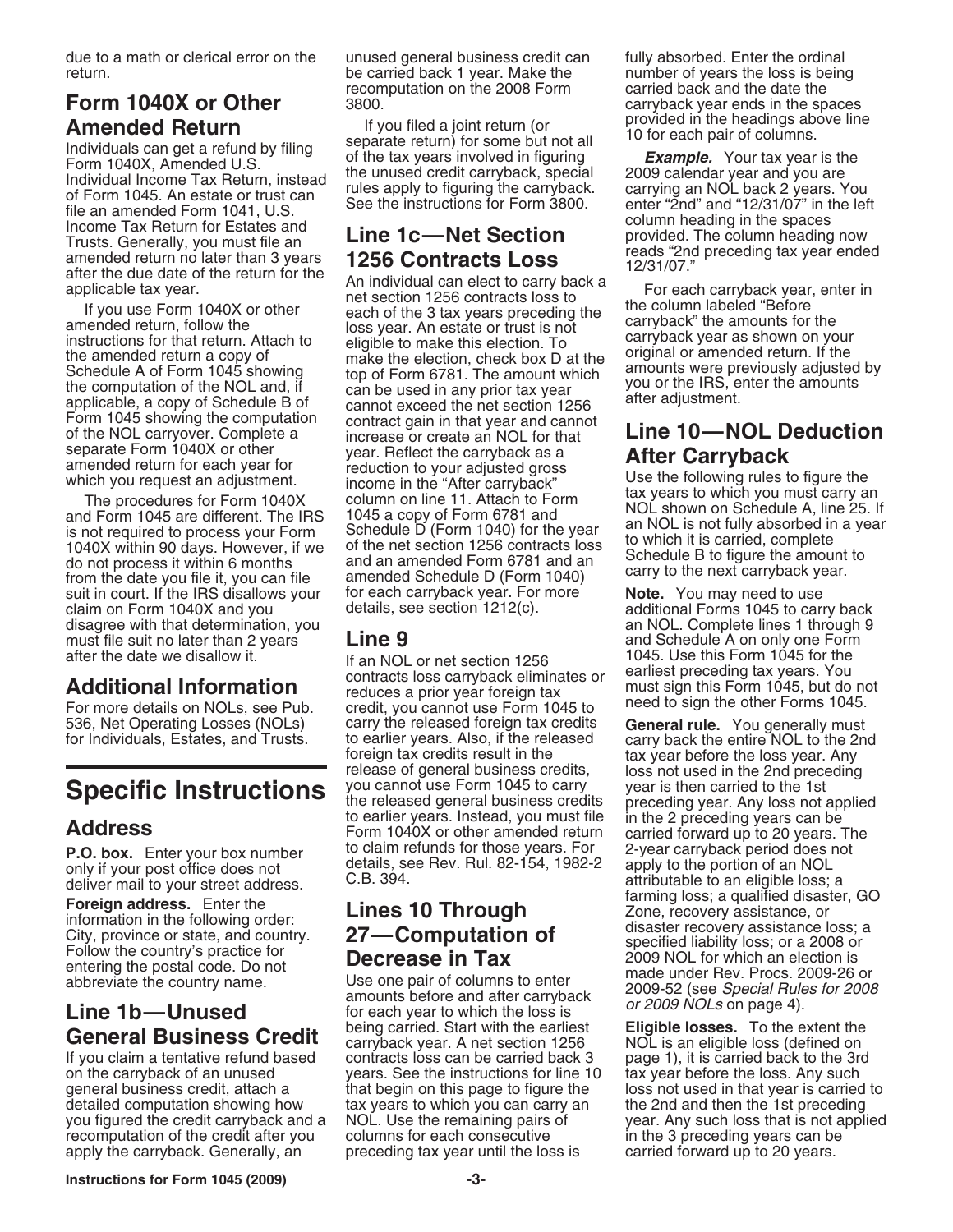due to a math or clerical error on the unused general business credit can fully absorbed. Enter the ordinal return. be carried back 1 year. Make the number of years the loss is being

**Amended Return** If you filed a joint return (or<br>
Individuals can get a refund by filing separate return) for some but not all<br>
If the tax years involved in figuring the headings above line<br>
Individual Income Tax Return, i

claim on Form 1040X and you details, see section 1212(c). additional Forms 1045 to carry back disagree with that determination, you an NOL. Complete lines 1 through 9<br>
must file suit no later than 2 years **Line 9** and Schedule A on only one Form must file suit no later than 2 years **Line 9** and Schedule A on only one Form after the date we disallow it.

on the carryback of an unused years. See the instructions for line 10 tax year before the loss. Any such general business credit, attach a that begin on this page to figure the loss not used in that year is carried general business credit, attach a that begin on this page to figure the loss not used in that year is carried to<br>detailed computation showing how tax years to which you can carry an the 2nd and then the 1st preceding you figured the credit carryback and a NOL. Use the remaining pairs of recomputation of the credit after you columns for each consecutive in the 3 preceding years can be apply the carryback. Generally, an exerceding tax year until the loss is carried forward up to 20 years.

recomputation on the 2008 Form carried back and the date the

If you use Form 1040X or other<br>amended return, follow the<br>instructions for that return. Attach to<br>the amended return a copy of<br>Schedule A of Form 1045 showing<br>the computation of the NOL and, if<br>amplicable, a copy of Schedu applicable, a copy of Schedule B of cannot exceed the net section 1256 after adjustment.<br>
Form 1045 showing the computation contract gain in that year and cannot of the NOL carryover. Complete a increase or create an NOL f separate Form 1040X or other<br>
amended return for each year or<br>
which you request an adjustment.<br>
The procedures for Form 1040X<br>
and Form 1045 are different. The IRS 1045<br>
and Form 1045 are different. The IRS 1045<br>
and Form from the date you file it, you can file amended Schedule D (Form 1040)<br>suit in court. If the IRS disallows your for each carryback year. For more **Note.** You may need to use<br>claim on Form 1040X and you details, see section

after the date we disallow it.<br> **Additional Information**<br>
For more details on NOLs, see Pub. The endices a prior year foreign tax<br>
For more details on NOLs, see Pub. The endit, you cannot use Form 1045 to the the other For 536, Net Operating Losses (NOLs) carry the released foreign tax credits **General rule.** You generally must<br>for Individuals, Estates, and Trusts. to earlier years. Also, if the released carry back the entire NOL to the 2nd<br> Specific Instructions<br>
Specific Specific instructions<br>
Address different to the cleased general business credits<br>
the released general business credits<br>
to earlier years. Instead, you must file<br>
Form 1040X or other amended

**General Business Credit** being carried. Start with the earliest **Eligible losses.** To the extent the carryback year. A net section 1256 NOL is an eligible loss (defined on If you claim a tentative refund based contracts l

**Form 1040X or Other** 3800.<br> **Amonded Peturn 1040X or Other** 3800. Carry the spaces of the spaces of the spaces of the spaces of the spaces of the spaces of the spaces of the spaces of the spaces of the spaces of the spa

**P.O. box.** Enter your box number<br>
only if your post office does not<br>
deliver mail to your street address.<br> **Example 10 Through**<br>
C.B. 394.<br> **Example 10 Through Example 10 Through Example disagree address** a tarming loss;

page 1), it is carried back to the 3rd tax years to which you can carry an the 2nd and then the 1st preceding<br>NOL. Use the remaining pairs of year. Any such loss that is not applied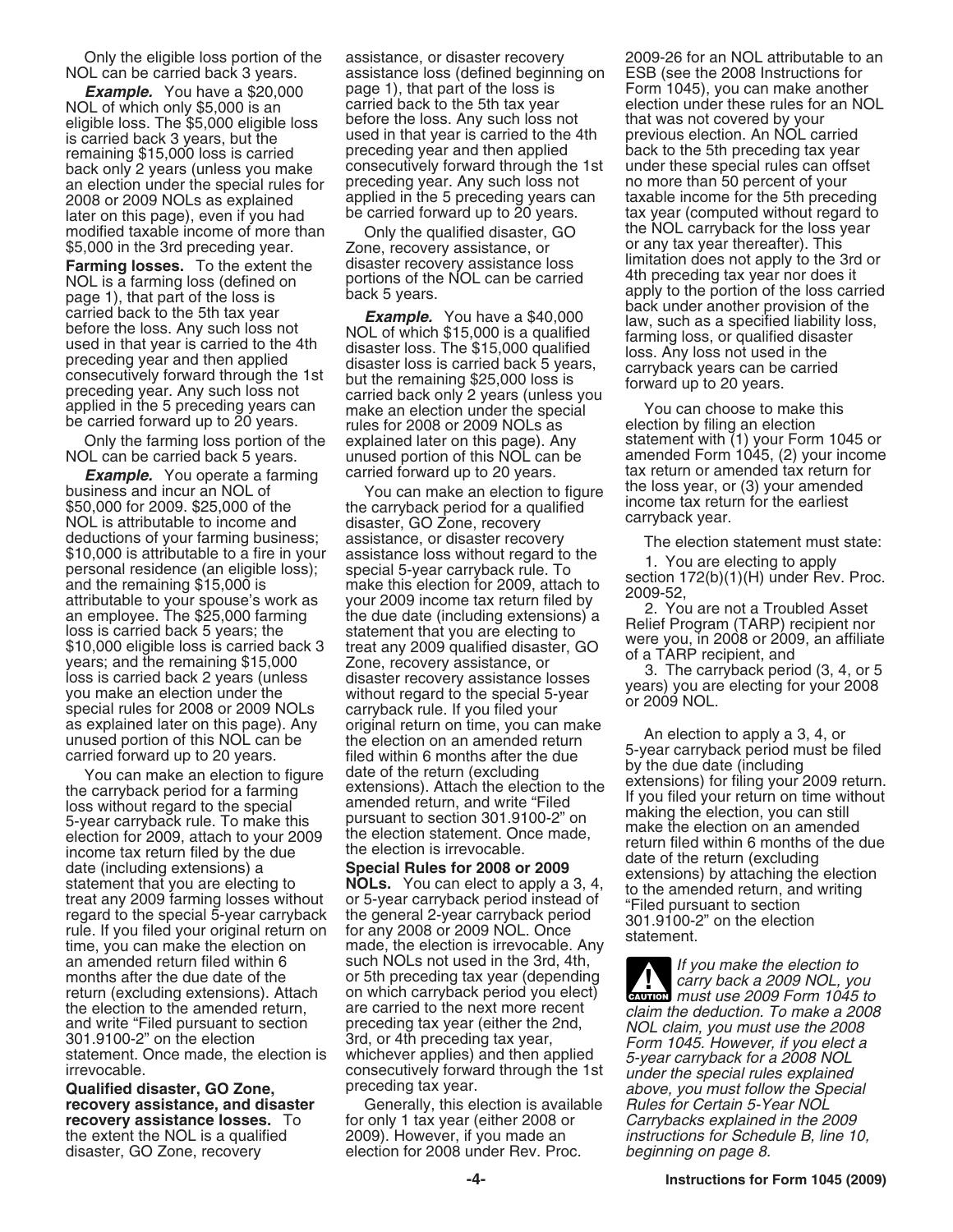NOL of which only \$5,000 is an carried back to the 5th tax year election under these rules for an NOL<br>eligible loss. The \$5,000 eligible loss before the loss. Any such loss not that was not covered by your eligible loss. The \$5,000 eligible loss before the loss. Any such loss not that was not covered by your<br>is carried back 3 years, but the surfact of that year is carried to the 4th previous election. An NOL carried is carried back 3 years, but the used in that year is carried to the 4th remaining \$15,000 loss is carried preceding year and then applied remaining \$15,000 loss is carried preceding year and then applied back to the 5th preceding tax year<br>hack only 2 years (unless you make consecutively forward through the 1st under these special rules can offset back only 2 years (unless you make consecutively forward through the 1st and these special rules can off<br>an election under the special rules for preceding year. Any such loss not and more than 50 percent of your an election under the special rules for preceding year. Any such loss not no more than 50 percent of your<br>2008 or 2009 NOLs as explained applied in the 5 preceding years can taxable income for the 5th preceding 2008 or 2009 NOLs as explained applied in the 5 preceding years can take for the 5 preceding years. later on this page), even if you had be carried forward up to 20 years. The stax year (computed without regard to income of more than Only the qualified disaster GO the NOL carryback for the loss year modified taxable income of more than Only the qualified disaster, GO \$5,000 in the 3rd preceding year. Zone, recovery assistance, or or any tax year thereafter). This

**Framing loss (defined on**<br> **FRAME)** Is a farming loss (defined on a portions of the NOL can be carried the preceding tax year nor does it<br>
page 1), that part of the loss is that we a security before the loss is that we a

business and incur an NOL of The Vou can make an election to figure incurse year, or (3) your amende<br>\$50,000 for 2009. \$25,000 of the the carryback period for a qualified income tax return for the earliest NOL is attributa NOL is attributable to income and deductions of your farming business;

an amended return filed within 6 such NOLs not used in the 3rd, 4th,<br>months after the due date of the or 5th preceding tax year (depending return (excluding extensions). Attach on which carryback period you elect) the election to the amended return, are carried to the next more recent claim the deduction. To make a 2008 and write "Filed pursuant to section" preceding tax year (either the 2nd, NOL claim, you must use the 2008

NOL can be carried back 3 years. assistance loss (defined beginning on ESB (see the 2008 Instructions for **Example.** You have a \$20,000 page 1), that part of the loss is Form 1045), you can make another and the set ulles for an NC<br>If of which only \$5,000 is an exercied back to the 5th tax year election under these rules for an

applied in the 5 preceding years can a make an election under the special correlation of the carried forward up to 20 years.<br>
Fulles for 2008 or 2009 NOLs as election by filing an election

deductions of your farming business; assistance, or disaster recovery<br>
\$10,000 is attributable to a fire in your assistance loss without regard to the<br>
personal residence (an eligible loss); special 5-year carryback rule.

and write "Filed pursuant to section preceding tax year (either the 2nd, NOL claim, you must use the 2008<br>301.9100-2" on the election 3rd, or 4th preceding tax year, Form 1045. However, if you elect a<br>statement. Once made,

**recovery assistance, and disaster** Generally, this election is available **recovery assistance losses.** To for only 1 tax year (either 2008 or *Carrybacks explained in the 2009* the extent the NOL is a qualified 2009). However, if you made an *instructions for Schedule B, line 10,* disaster, GO Zone, recovery election for 2008 under Rev. Proc. beginning on page 8.

Only the eligible loss portion of the assistance, or disaster recovery 2009-26 for an NOL attributable to an **Farming losses.** To the extent the disaster recovery assistance loss limitation does not apply to the 3rd or **Farming losses**. To the extent the disaster recovery assistance loss limitation does not apply to the 3rd or **P** 

Only the farming loss portion of the explained later on this page). Any statement with (1) your Form 1045 or NOL can be carried back 5 years. unused portion of this NOL can be amended Form 1045, (2) your income **Example.** You operate a farming carried forward up to 20 years. tax return or amended tax return for the same same in the loss year, or (3) your amended tax return for the same same return for the loss year, or (3) your a

as explained later on this page). Any original return on time, you can make<br>
unused portion of this NOL can be<br>
carried forward up to 20 years. filed within 6 months after the due<br>
carried for a farming<br>
You can make an el

**ENTION** must use 2009 Form 1045 to Irrevocable.<br>**Qualified disaster, GO Zone,** preceding tax year.<br>**Rualified disaster, GO Zone,** preceding tax year.<br>**recovery assistance, and disaster** Generally, this election is available Rules for Certain 5-Year NOL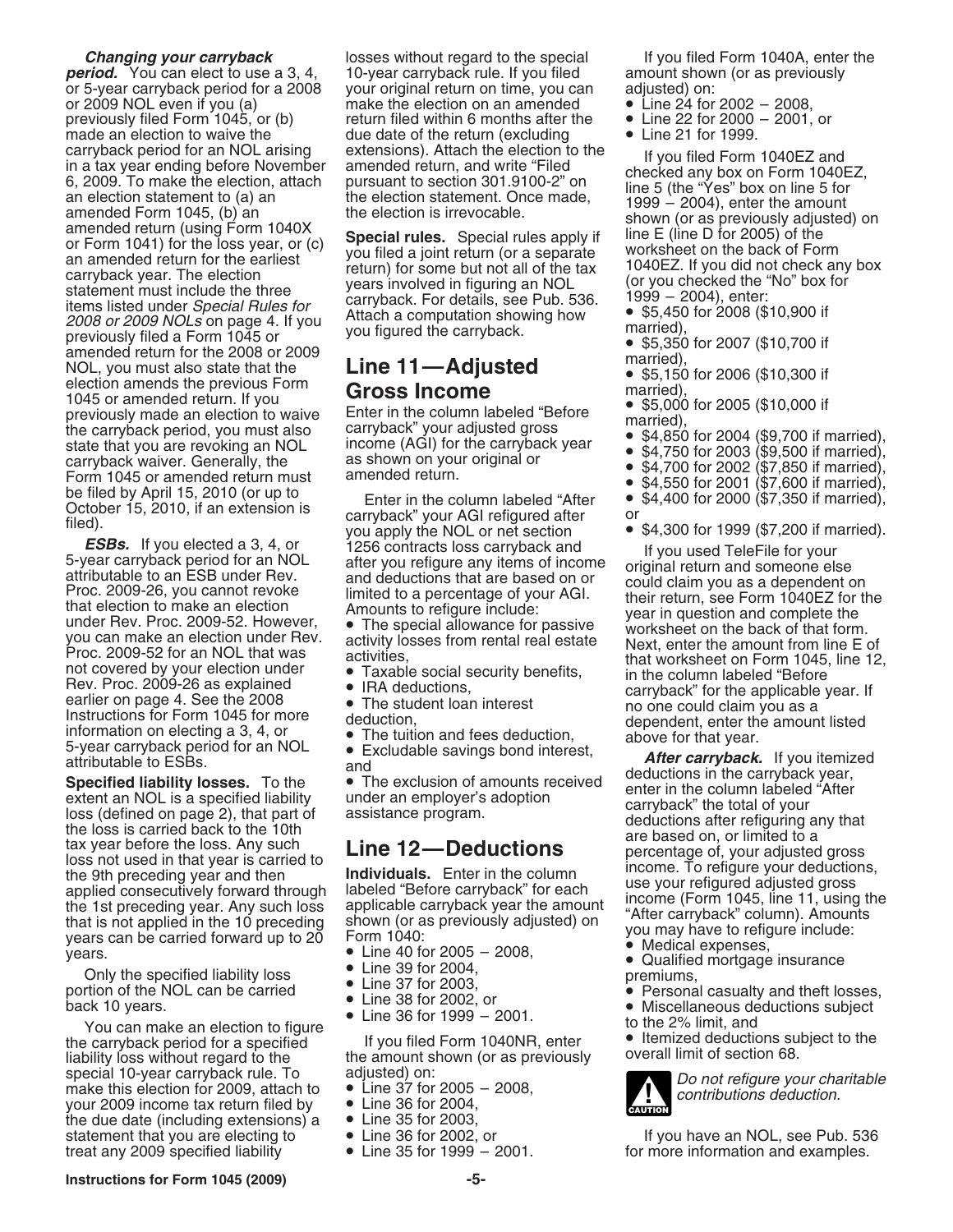compted period for a Molt also the matrix and period in the specific and for a matrix and for a matrix and for a matrix and for a matrix and for a matrix and for a matrix and for a matrix and for a matrix and for a matrix

If you can make an election to figure<br>
the carryback period for a specified to the the amount shown (or as previously<br>
special 10-vear carryback rule. To adjusted) on:<br>
Special 10-vear carryback rule. To adjusted) on: special 10-year carryback rule. To adjusted) on:<br>make this election for 2009, attach to  $\bullet$  Line 37 for 2005 - 2008,<br>your 2009 income tax return filed by  $\bullet$  Line 36 for 2004, your 2009 income tax return filed by <br>the due date (including extensions) a <br>statement that you are electing to <br>• Line 36 for 2002, or treat any 2009 specified liability • Line 35 for 1999 – 2001. for more information and examples.

**Changing your carryback** losses without regard to the special If you filed Form 1040A, enter the **period.** You can elect to use a 3, 4, 10-year carryback rule. If you filed amount shown (or as previously or 5-<br>or 5-year carryback period for a 2008 vour original return on time, you can adjusted) on: or 5-year carryback period for a 2008 your original return on time, you can adjusted) on:<br>or 2009 NOL even if you (a) make the election on an amended • Line 24 for 2002 – 2008, or 2009 NOL even if you (a) make the election on an amended • Line 24 for 2002 – 2008,<br>previously filed Form 1045, or (b) return filed within 6 months after the • Line 22 for 2000 – 2001, or previously filed Form 1045, or (b) return filed within 6 months after the • Line 22 for 2000 made an election to waive the due date of the return (excluding • Line 21 for 1999. made an election to waive the due date of the return (excluding carryback period for an NOL arising extensions). Attach the election to the

- 
- 

- 
- 
- 

- 
- 
- 
- 
- 

- 
- 
- 
- 
- 

- 
- 
- 

- 
- 
- 
- 
- 
- 
- 
- 
- 
- -

- 
- 
- 
- 
- 
- 
- 



• Line 36 for 2002, or **that it is a statement to If you have an NOL**, see Pub. 536 **• Line 35 for 1999** – 2001.

**Instructions for Form 1045 (2009) -5-**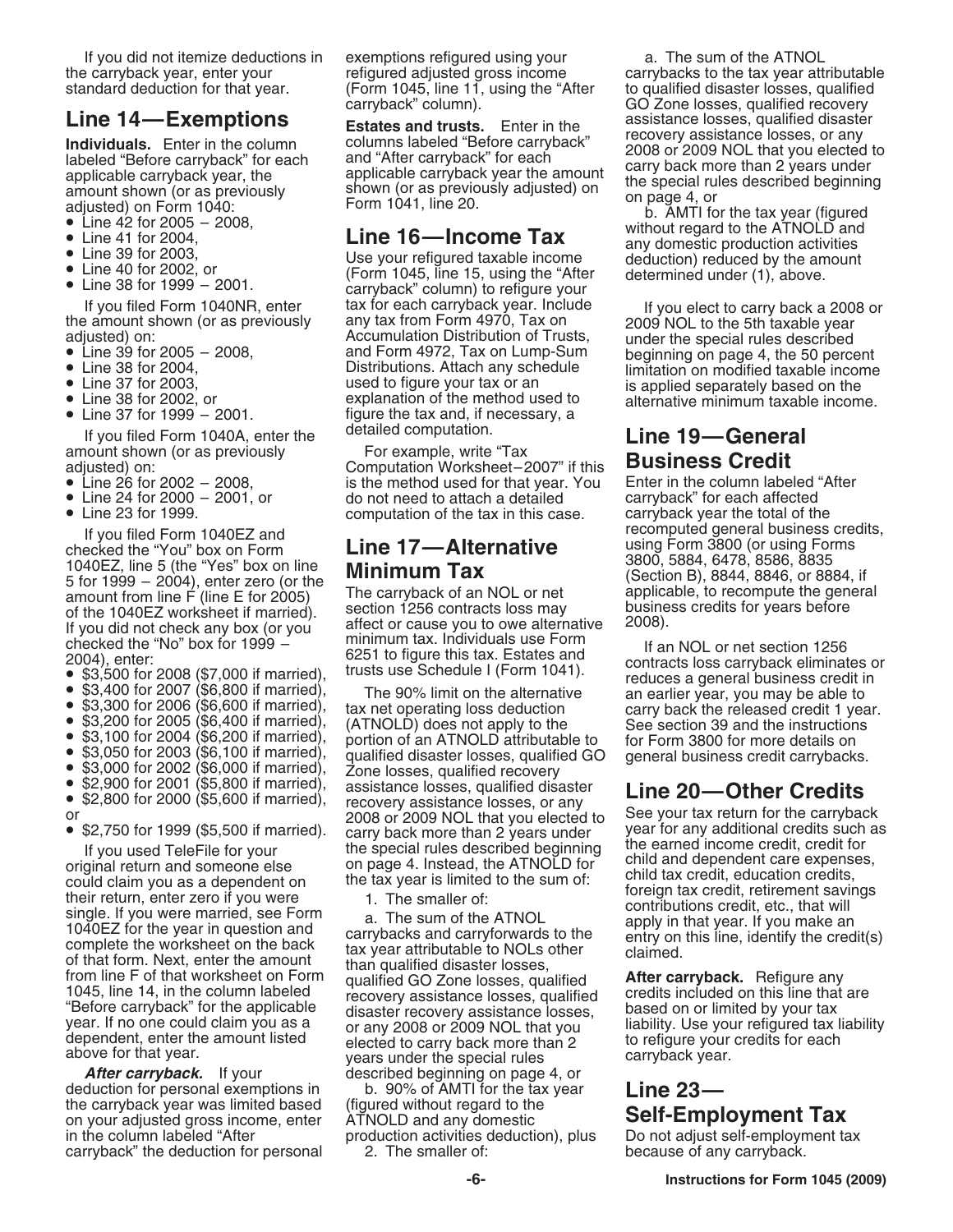- 
- 
- 
- 
- 

- 
- 
- 
- 
- 

If you filed Form 1040A, enter the detailed computation. **In the Studie Line 19—General**<br>lount shown (or as previously **contact Form The Film in the Line of Crodit** amount shown (or as previously adjusted) on:

- 
- 
- 

If you filed Form 1040EZ and<br>
checked the "You" box on Form<br>
1040EZ, line 5 (the "Yes" box on line<br>
5 for 1999 – 2004), enter zero (or the<br>
5 for 1999 – 2004), enter zero (or the<br>
2005)<br>
The carryback of an NOL or net<br>
of

- 
- 
- 
- 
- 
- 
- 

or 2008 or 2009 NOL that you elected to<br>
See your tax return for the carryback<br>
If you used TeleFile for your<br>
original return and someone else<br>
or any back more than 2 years under<br>
original return and someone else<br>
on pag

**After carryback.** If your described beginning on page 4, or deduction for personal exemptions in b. 90% of AMTI for the tax year **Line 23—** the carryback year was limited based (figured without regard to the the carryback year was limited based (figured without regard to the on your adjusted gross income, enter ATNOLD and any domestic on your adjusted gross income, enter ATNOLD and any domestic<br>in the column labeled "After production activities deduction), plus Do not adjust self-employment tax in the column labeled "After production activities deduction), plus Do not adjust self-employn<br>carryback" the deduction for personal 2. The smaller of: because of any carryback. carryback" the deduction for personal

If you did not itemize deductions in exemptions refigured using your a. The sum of the ATNOL standard deduction for that year. (Form 1045, line 11, using the "After to qualified disaster losses, qualified<br>carryback" column). (GO Zone losses, qualified recovery

If you filed Form 1040NR, enter<br>
the amount shown (or as previously any tax for each carryback year. Include<br>
the amount shown (or as previously any tax form Form 4970, Tax on<br>
adjusted) on:<br>
• Line 39 for 2005 – 2008,<br>
•

aniount shown (or as previously<br>adjusted) on: Computation Worksheet–2007" if this **Business Credit**<br>• Line 26 for 2002 – 2008, is the method used for that year. You Enter in the column labeled "After<br>• Line 24 for 2000 – 2 • Line 24 for 2000 – 2001, or do not need to attach a detailed carryback" for each affected<br>• Line 23 for 1999. computation of the tax in this case. carryback year the total of the

checked the "No" box for 1999 – minimum tax. Individuals use Form 2004), enter: 6251 to figure this tax. Estates and 2004), enter: 6251 to figure this tax. Estates and  $\bullet$  \$3,400 for 2008 (\$7,000 if married), The 90% lim

"Before carryback" for the applicable disaster recovery assistance losses, based on or limited by your tax<br>year. If no one could claim you as a or any 2008 or 2009 NOL that you liability. Use your refigured tax liability<br>d

the carryback year, enter your refigured adjusted gross income carrybacks to the tax year attributable GO Zone losses, qualified recovery<br>assistance losses, qualified disaster **Line 14—Exemptions**<br> **Line 14—Exemptions**<br> **Line is trace and trusts.** Enter in the columns labeled "Before carryback" for each<br>
applicable carryback year, the<br>
applicable carryback year, the<br>
applicable carryback year,

extemputation of the tax in this case. carryback year the total of the total of the computed general business credits,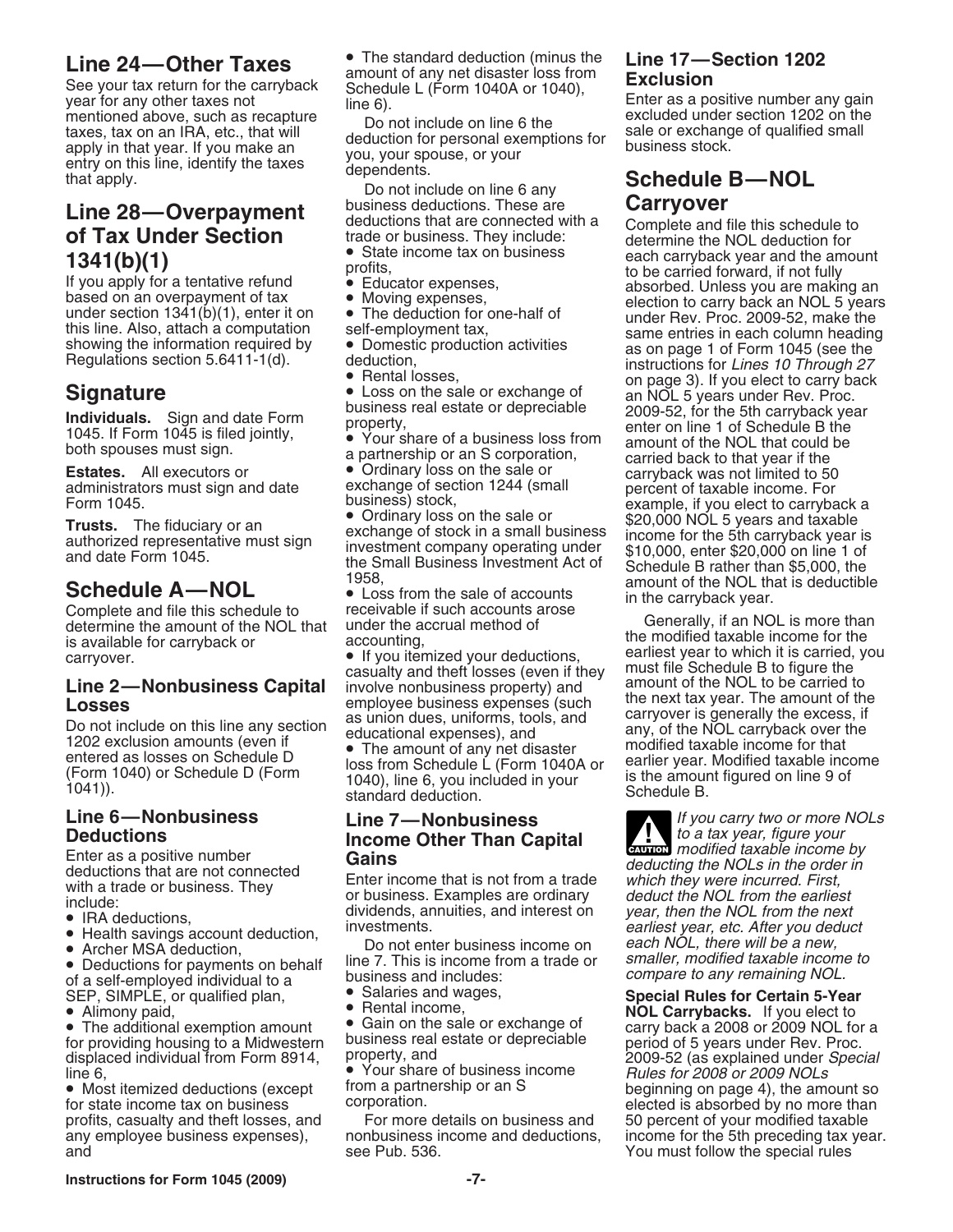See your tax return for the carryback<br>
See your tax return for the carryback<br>
mentioned above, such as recapture<br>
taxes, tax on an IRA, etc., that will<br>
apply in that year. If you make an<br>
entry on this line, identify the

Complete and file this schedule to receivable if such accounts arose<br>determine the amount of the NOL that under the accrual method of Generally, if an NOL is more than<br>is available for carryback or accounting, the modified

- 
- 
- 

of a self-employed individual to a business and includes: *Compare to any remaining NOL*<br>SEP, SIMPLE, or qualified plan, **Calaries and wages, Special Rules for Certain 5-Year**<br>Alimony paid **Carrybacks.** If you elect to

displaced individual from Form 8914, property, and<br>line 6.<br>**Property** of business income

profits, casualty and theft losses, and and see Pub. 536. You must follow the special rules

**Line 24—Other Taxes** • The standard deduction (minus the **Line 17—Section 1202**<br>See your tax return for the carryback Schedule L (Form 1040A or 1040),

- 
- 

casualty and theft losses (even if they<br> **Line 2—Nonbusiness Capital** involve nonbusiness property) and amount of the NOL to be carried to<br> **Losses** employee business expenses (such the next tax year. The amount of the

entered as losses on Schedule D<br>
(Form 1040) or Schedule D (Form 1040), line 6, you included in your<br>
1041)).<br>
tandard deduction.<br>
Schedule B.

# **Deductions Cauctions**<br> **Enter as a positive number Gains Caution Gains**

- 
- 

**Line 28—Overpayment**<br> **Carryover**<br> **Carryover**<br> **Carryover**<br> **Carryover**<br> **Carryover**<br> **Carryover**<br> **Carryover**<br> **Carryover**<br> **Carryover**<br> **Carryover**<br> **Carryover**<br> **Carryover**<br> **Carryover**<br> **Carryover**<br> **Carryover**<br> **Ca** 

is available for carryback or<br>
accounting,<br>
carryover.<br>
accounting,<br>
accounting,<br>
accounting,<br>
accounting,<br>
accounting,<br>
accounting,<br>
accounting,<br>
accounting,<br>
accounting,<br>
accounting,<br>
accounting,<br>
accounting,<br>
accounting **Losses**<br>
Do not include on this line any section<br>
The amount of the any section<br>
The amount of any net disaster<br>
and<br>
a carryover is generally the excess, if<br>
a carryover is generally the excess, if<br>
a carryover is genera

**Line 6—Nonbusiness**<br> **Line 7—Nonbusiness**<br> **Line 7—Nonbusiness**<br> **Line Canital Line Canital** *Let to a tax year, figure your* **ENTION** modified taxable income by Enter as a positive number<br>
deductions that are not connected<br>
with a trade or business. They<br>
include:<br>
include:<br>
exerciclude:<br>
exerciclude:<br>
exerciclude:<br>
exerciclude:<br>
exerciclude:<br>
exerciclude:<br>
exerciclude:<br>
exerciclu

• Alimony paid,<br>• The additional exemption amount • Gain on the sale or exchange of **NOL Carrybacks.** If you elect to **The additional exemption amount** • Gain on the sale or exchange of **carryback a 2008** or 2009 NOL fo • Gain on the sale or exchange of earry back a 2008 or 2009 NOL for a • Gain on the sale or depreciable  $\qquad \qquad$  period of 5 years under Rev. Proc. for providing housing to a Midwestern business real estate or depreciable period of 5 years under Rev. Proc.<br>displaced individual from Form 8914, property, and the manner of the case or designated under Special line 6, • Your share of business income Rules for 2008 or 2009 NOLs • Most itemized deductions (except beginning on page 4), the amount so from a partnership or an S poration.<br>For more details on business and  $\qquad \qquad$  50 percent of your modified taxable any employee business expenses), anonbusiness income and deductions, income for the 5th preceding tax year.<br>and must follow the special rules see Pub. 536.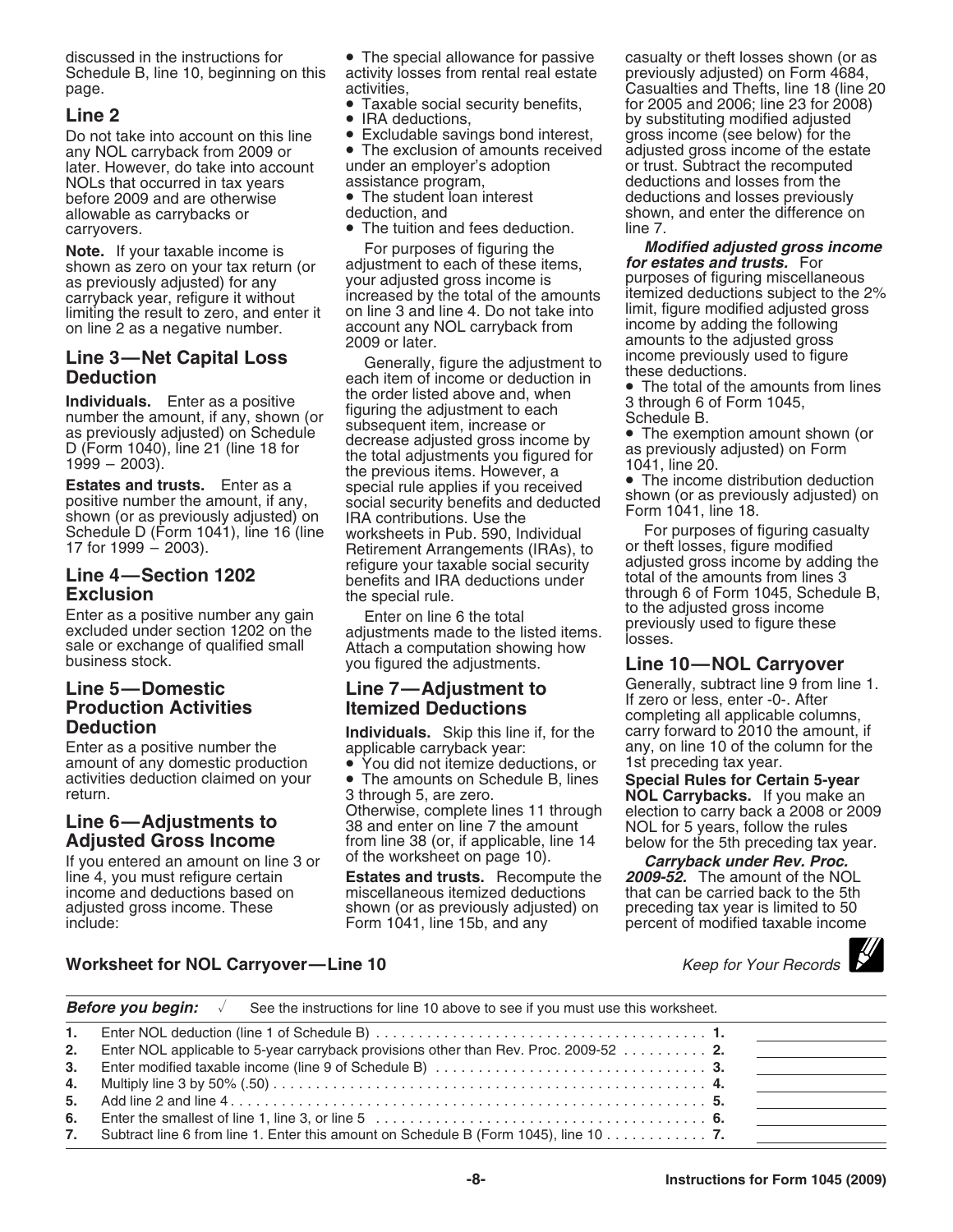discussed in the instructions for **•** The special allowance for passive casualty or theft losses shown (or as Schedule B, line 10, beginning on this activity losses from rental real estate previously adjusted) on Form 4684 Schedule B, line 10, beginning on this activity lo<br>page. https://www.formg.com

Do not take into account on this line • Excludable savings bond interest, gross income (see below) for the any NOL carryback from 2009 or • The exclusion of amounts received adjusted gross income of the estate later. However, do take into account under an employer's adoption<br>NOLs that occurred in tax years sassistance program, NOLs that occurred in tax years assistance program, and deductions and losses from the before 2009 and are otherwise <br> **before 2009 and are otherwise •** The student loan interest deductions and losses previous before 2009 and are otherwise • The student loan interest deductions and losses previously<br>allowable as carrybacks or deduction, and allowable as carrybacks or carryovers. **•** The tuition and fees deduction.

limiting the result to zero, and enter it on line 3 and line 4. Do not take into line 2 as a negative number.

Shown (or as previously adjusted) on IRA contributions. Use the Form 1041, line 16.<br>Schedule D (Form 1041), line 16 (line worksheets in Pub. 590, Individual For purposes of figuring casualty<br>17 for 1999 – 2003). <br>Retiremen

amount of any domestic production • You did not itemize deductions, or activities deduction claimed on your.

- 
- 
- 

• The exclusion of amounts received adjusted gross income of the estate under an employer's adoption or trust. Subtract the recomputed

- 
- 

shown as zero on your tax return (or adjustment to each of these items, *for estates and trusts.* For as previously adjusted) for any your adjusted gross income is purposes of figuring miscellaneous carryback year, refigure it without increased by the total of the amounts itemized deductions subject to the 2<br>limiting the result to zero, and enter it on line 3 and line 4. Do not take into limit, figure modified adjuste account any NOL carryback from income by adding the following<br>2009 or later. **income in the following the following** 

**Line 3—Net Capital Loss**<br> **Deduction**<br> **Conservantly, figure the adjustment to**<br> **Conservantly** and the order listed above and, when<br>
mumber the amount, if any, shown (or<br>
as previously adjusted) on Schedule<br>
D (Form 1045 Retirement Arrangements (IRAs), to cor theft losses, figure modified<br>refigure your taxable social security cadjusted gross income by adding the Line 4—Section 1202 **Exclusion 1202** benefits and IRA deductions under and the amounts from lines 3<br>**Exclusion** benefits and IRA deductions under total of the amounts from lines 3<br>the special rule. Through 6 of Form 1045,

**Exclusion**<br>
Enter as a positive number any gain<br>
excluded under section 1202 on the adjustments made to the listed items.<br>
sale or exchange of qualified small<br>
business stock.<br>
you figured the adjustments.<br>
Line 10—NOL Ca

activities deduction claimed on your • The amounts on Schedule B, lines **Special Rules for Certain 5-year** return.<br> **Larrybacks.** If you make an<br> **Larrybacks.** If you make an<br> **Larrybacks.** If you make an<br> **Larrybacks.** If you make an<br> **Adjusted Gross Income**<br> **Adjusted Gross Income**<br>
If you entered an amount on line 3 or of th

line 4, you must refigure certain **Estates and trusts.** Recompute the *2009-52.* The amount of the NOL income and deductions based on miscellaneous itemized deductions that can be carried back to the 5th<br>adjusted gross income. These shown (or as previously adjusted) on preceding tax year is limited to 50 adjusted gross income. These shown (or as previously adjusted) on include:<br>Form 1041, line 15b, and any

page. The contraction of the contractivities, activities, activities, contraction of the Casualties and Thefts, line 18 (line 20 • Taxable social security benefits, for 2005 and 2006; line 23 for 2008)<br> **Line 2** • IRA deductions, by substituting modified adjusted<br>
Do not take into account on this line • Excludable savings bond interest, gross income shown, and enter the difference on line 7.

**Note.** If your taxable income is For purposes of figuring the **Modified adjusted gross income**<br>shown as zero on your tax return (or adjustment to each of these items. **for estates and trusts.** For your adjusted gross income is entity purposes of figuring miscellaneous<br>increased by the total of the amounts itemized deductions subject to the 2% amounts to the adjusted gross<br>income previously used to figure

**Line 5—Domestic**<br> **Production Activities**<br> **Production Activities**<br> **Itemized Deductions**<br> **Individuals.** Skip this line if, for the carry forward to 2010 the amount, if<br> **Deduction Deauction**<br> **Enter as a positive number the** and **applicable carryback year:** any, on line 10 of the column for the amount of any domestic production <br> **Enter as a positive number the** applicable carryback year: any, on l

percent of modified taxable income

## **Worksheet for NOL Carryover—Line 10** North Manual Records Neep for Your Records North Records North Records North Records North Records North Records North Records North Records North Records North Records North Records N

|    | Before you begin:<br>See the instructions for line 10 above to see if you must use this worksheet.                                               |  |  |  |  |
|----|--------------------------------------------------------------------------------------------------------------------------------------------------|--|--|--|--|
| 1. |                                                                                                                                                  |  |  |  |  |
| 2. | Enter NOL applicable to 5-year carryback provisions other than Rev. Proc. 2009-52 2.                                                             |  |  |  |  |
| 3. |                                                                                                                                                  |  |  |  |  |
| 4. | Multiply line 3 by 50% (.50) $\dots \dots \dots \dots \dots \dots \dots \dots \dots \dots \dots \dots \dots \dots \dots \dots \dots \dots \dots$ |  |  |  |  |
| 5. |                                                                                                                                                  |  |  |  |  |
| 6. |                                                                                                                                                  |  |  |  |  |
| 7. | Subtract line 6 from line 1. Enter this amount on Schedule B (Form 1045), line 10 $\dots \dots \dots$                                            |  |  |  |  |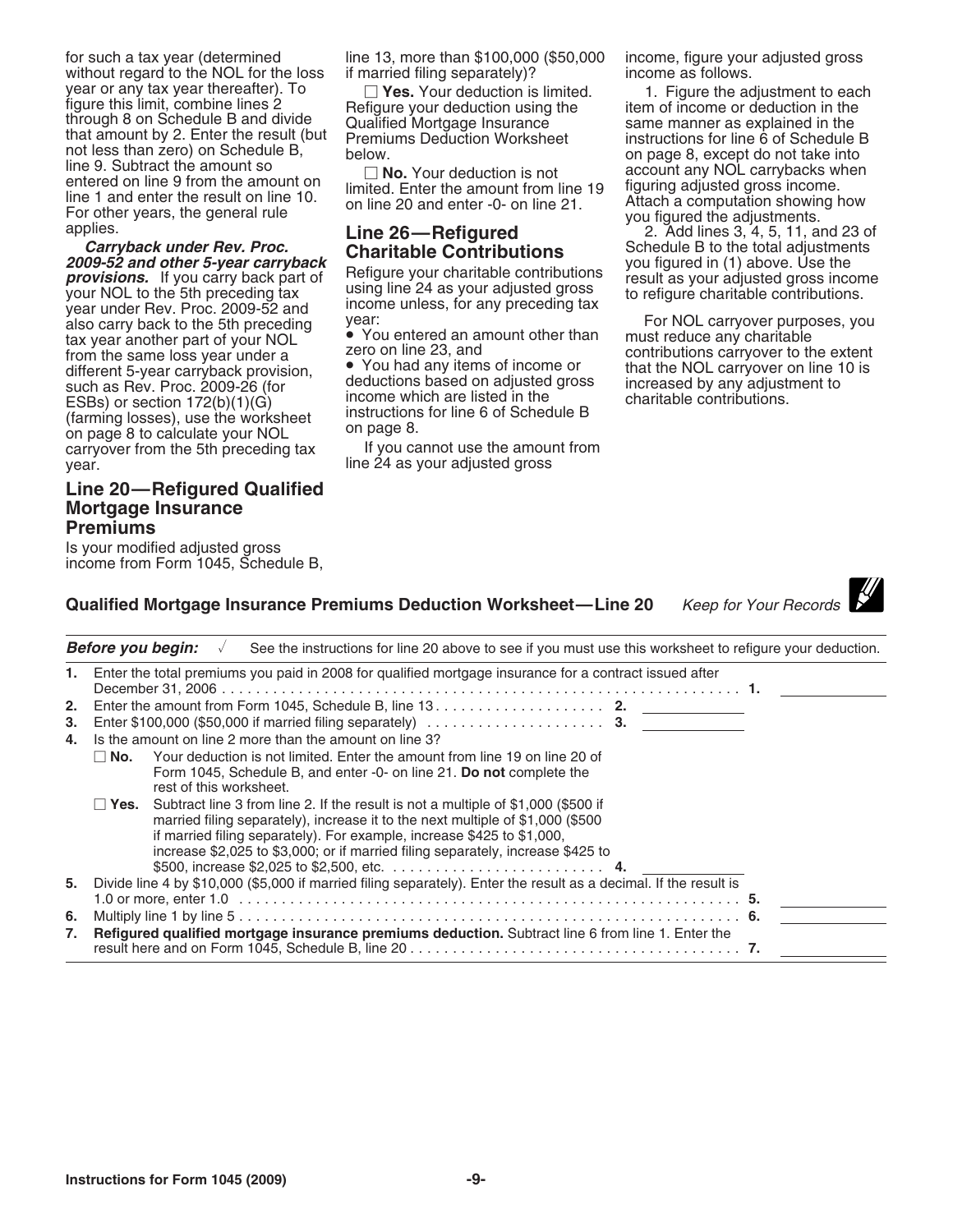year or any tax year thereafter). To  $\Box$  Yes. Your deduction is limited. 1. Figure the adjustment to each figure this limit, combine lines 2 Refigure your deduction using the through 8 on Schedule B and divide Qualified M not less than zero) on Schedule B,<br>
line 9. Subtract the amount so<br>
entered on line 9 from the amount on<br>
limited. Enter the amount from line 19<br>
limited. Enter the amount from line 19<br>
limited. Enter the amount from line

2009-52 and other 5-year carryback<br>
provisions. If you carry back part of<br>
you figured in (1) above. Use the<br>
your NOL to the 5th preceding tax<br>
year under Rev. Proc. 2009-52 and<br>
year under Rev. Proc. 2009-52 and<br>
year u year under Rev. Proc. 2009-52 and<br>also carry back to the 5th preceding year:<br>tax year another part of your NOL (You entered an amount other than must reduce any charitable tax year another part of your NOL • You entered an amount other than must reduce any charitable<br>from the same loss year under a zero on line 23, and contributions carryover to the extent<br>different 5-year carryback provisio different 5-year carryback provision, and any items of income or that the NOL carryover on line 10 is such as Rev. Proc. 2009-26 (for deductions based on adjusted gross increased by any adjustment to such as Rev. Proc. 2009-26 (for deductions based on adjusted gross increased by any adjustment to<br>ESBs) or section 172(b)(1)(G) income which are listed in the charitable contributions.<br>(farming losses), use the worksheet i (farming losses), use the worksheet<br>on page 8 to calculate your NOL on page 8.<br>carryover from the 5th preceding tax If you cannot use the amount from carryover from the 5th preceding tax year. The 24 as your adjusted gross

### **Line 20—Refigured Qualified Mortgage Insurance Premiums**

Is your modified adjusted gross income from Form 1045, Schedule B,

for such a tax year (determined line 13, more than \$100,000 (\$50,000 income, figure your adjusted gross without regard to the NOL for the loss if married filing separately)? income as follows.

applies. **Charge Communist Communist Contributions** 2. Add lines 3, 4, 5, 11, and 23 of<br>**Carryback under Rev. Proc. Charitable Contributions** Schedule B to the total adjustments<br>you figured in (1) above. Use the

|    | <b>Keep for Your Records</b><br><b>Qualified Mortgage Insurance Premiums Deduction Worksheet—Line 20</b>                                                                                                                                                                                                                                   |  |
|----|--------------------------------------------------------------------------------------------------------------------------------------------------------------------------------------------------------------------------------------------------------------------------------------------------------------------------------------------|--|
|    | Before you begin:<br>See the instructions for line 20 above to see if you must use this worksheet to refigure your deduction.                                                                                                                                                                                                              |  |
| 1. | Enter the total premiums you paid in 2008 for qualified mortgage insurance for a contract issued after                                                                                                                                                                                                                                     |  |
| 2. | Enter the amount from Form 1045, Schedule B, line 13. 2.                                                                                                                                                                                                                                                                                   |  |
| 3. | Enter \$100,000 (\$50,000 if married filing separately) $\ldots \ldots \ldots \ldots \ldots \ldots$ 3.                                                                                                                                                                                                                                     |  |
| 4. | Is the amount on line 2 more than the amount on line 3?                                                                                                                                                                                                                                                                                    |  |
|    | Your deduction is not limited. Enter the amount from line 19 on line 20 of<br>⊟No.<br>Form 1045, Schedule B, and enter -0- on line 21. Do not complete the<br>rest of this worksheet.                                                                                                                                                      |  |
|    | Subtract line 3 from line 2. If the result is not a multiple of \$1,000 (\$500 if<br>⊟ Yes.<br>married filing separately), increase it to the next multiple of \$1,000 (\$500<br>if married filing separately). For example, increase \$425 to \$1,000,<br>increase \$2,025 to \$3,000; or if married filing separately, increase \$425 to |  |
| 5. | Divide line 4 by \$10,000 (\$5,000 if married filing separately). Enter the result as a decimal. If the result is                                                                                                                                                                                                                          |  |
|    |                                                                                                                                                                                                                                                                                                                                            |  |
| 6. |                                                                                                                                                                                                                                                                                                                                            |  |
| 7. | Refigured qualified mortgage insurance premiums deduction. Subtract line 6 from line 1. Enter the                                                                                                                                                                                                                                          |  |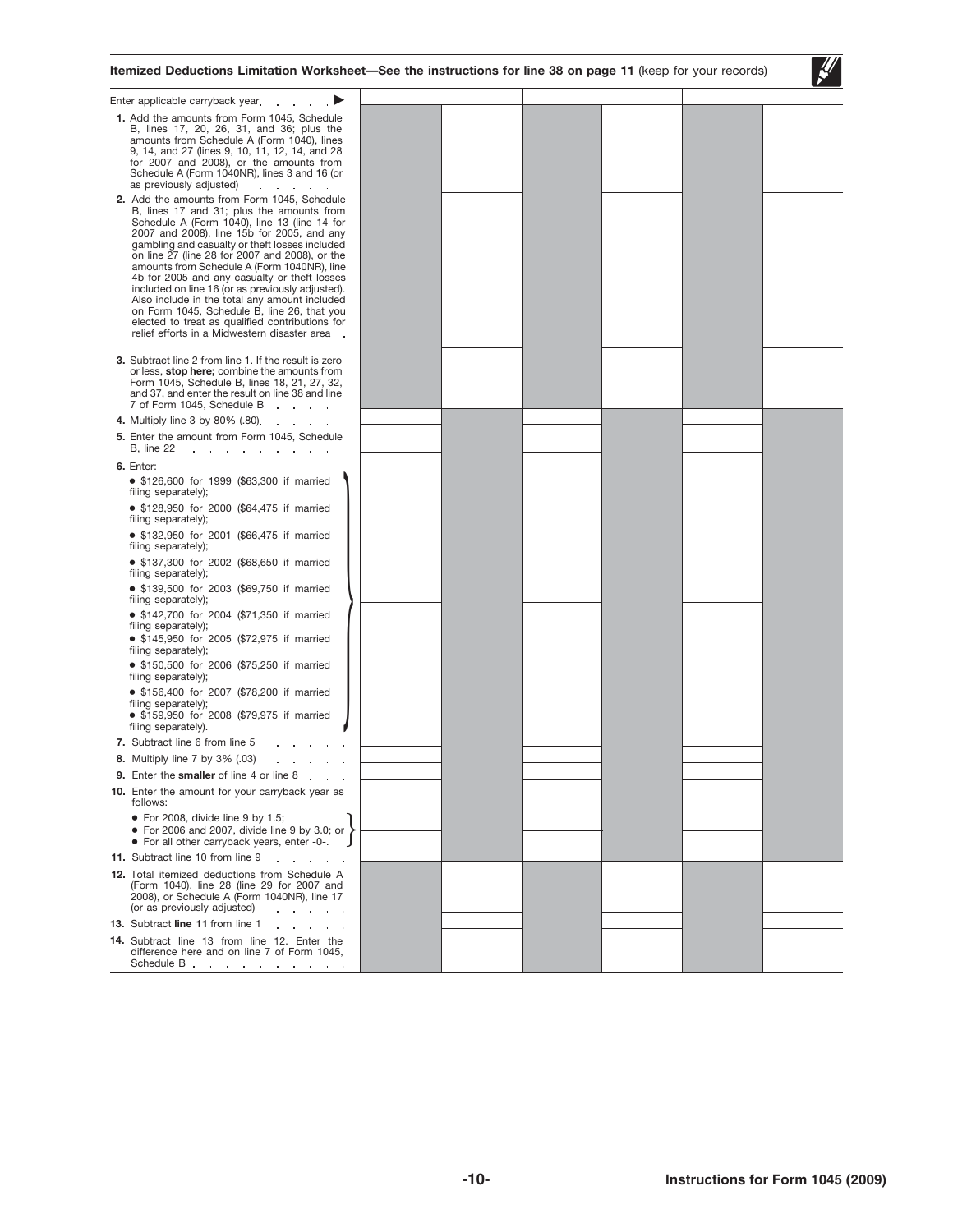

| Enter applicable carryback year.                                                                                                                                                                                                                                                                                                                                                                                                                                                                                                                                                                   |  |  |  |
|----------------------------------------------------------------------------------------------------------------------------------------------------------------------------------------------------------------------------------------------------------------------------------------------------------------------------------------------------------------------------------------------------------------------------------------------------------------------------------------------------------------------------------------------------------------------------------------------------|--|--|--|
| 1. Add the amounts from Form 1045, Schedule<br>B, lines 17, 20, 26, 31, and 36; plus the<br>amounts from Schedule A (Form 1040), lines<br>9, 14, and 27 (lines 9, 10, 11, 12, 14, and 28<br>for 2007 and 2008), or the amounts from<br>Schedule A (Form 1040NR), lines 3 and 16 (or<br>as previously adjusted)<br>$\mathbf{1}$ $\mathbf{1}$ $\mathbf{1}$ $\mathbf{1}$<br>2. Add the amounts from Form 1045, Schedule                                                                                                                                                                               |  |  |  |
| B, lines 17 and 31; plus the amounts from<br>Schedule A (Form 1040), line 13 (line 14 for<br>2007 and 2008), line 15b for 2005, and any<br>gambling and casualty or theft losses included<br>on line 27 (line 28 for 2007 and 2008), or the<br>amounts from Schedule A (Form 1040NR), line<br>4b for 2005 and any casualty or theft losses<br>included on line 16 (or as previously adjusted).<br>Also include in the total any amount included<br>on Form 1045, Schedule B, line 26, that you<br>elected to treat as qualified contributions for<br>relief efforts in a Midwestern disaster area. |  |  |  |
| 3. Subtract line 2 from line 1. If the result is zero<br>or less, stop here; combine the amounts from<br>Form 1045, Schedule B, lines 18, 21, 27, 32,<br>and 37, and enter the result on line 38 and line<br>7 of Form 1045, Schedule B<br>$\mathbf{r}$ and $\mathbf{r}$ and $\mathbf{r}$                                                                                                                                                                                                                                                                                                          |  |  |  |
| 4. Multiply line 3 by 80% (.80).<br>$\sim$ $\sim$                                                                                                                                                                                                                                                                                                                                                                                                                                                                                                                                                  |  |  |  |
| 5. Enter the amount from Form 1045, Schedule<br><b>B</b> , line 22<br>the contract of the contract of                                                                                                                                                                                                                                                                                                                                                                                                                                                                                              |  |  |  |
| 6. Enter:                                                                                                                                                                                                                                                                                                                                                                                                                                                                                                                                                                                          |  |  |  |
| • \$126,600 for 1999 (\$63,300 if married<br>filing separately);                                                                                                                                                                                                                                                                                                                                                                                                                                                                                                                                   |  |  |  |
| • \$128,950 for 2000 (\$64,475 if married<br>filing separately);                                                                                                                                                                                                                                                                                                                                                                                                                                                                                                                                   |  |  |  |
| • \$132,950 for 2001 (\$66,475 if married<br>filing separately);                                                                                                                                                                                                                                                                                                                                                                                                                                                                                                                                   |  |  |  |
| • \$137,300 for 2002 (\$68,650 if married<br>filing separately);                                                                                                                                                                                                                                                                                                                                                                                                                                                                                                                                   |  |  |  |
| • \$139,500 for 2003 (\$69,750 if married<br>filing separately);                                                                                                                                                                                                                                                                                                                                                                                                                                                                                                                                   |  |  |  |
| • \$142,700 for 2004 (\$71,350 if married<br>filing separately);<br>• \$145,950 for 2005 (\$72,975 if married                                                                                                                                                                                                                                                                                                                                                                                                                                                                                      |  |  |  |
| filing separately);<br>• \$150,500 for 2006 (\$75,250 if married<br>filing separately);                                                                                                                                                                                                                                                                                                                                                                                                                                                                                                            |  |  |  |
| • \$156,400 for 2007 (\$78,200 if married<br>filing separately);                                                                                                                                                                                                                                                                                                                                                                                                                                                                                                                                   |  |  |  |
| • \$159,950 for 2008 (\$79,975 if married<br>filing separately).                                                                                                                                                                                                                                                                                                                                                                                                                                                                                                                                   |  |  |  |
| 7. Subtract line 6 from line 5                                                                                                                                                                                                                                                                                                                                                                                                                                                                                                                                                                     |  |  |  |
| <b>8.</b> Multiply line 7 by 3% (.03)                                                                                                                                                                                                                                                                                                                                                                                                                                                                                                                                                              |  |  |  |
| 9. Enter the smaller of line 4 or line 8                                                                                                                                                                                                                                                                                                                                                                                                                                                                                                                                                           |  |  |  |
| 10. Enter the amount for your carryback year as<br>follows:                                                                                                                                                                                                                                                                                                                                                                                                                                                                                                                                        |  |  |  |
| $\bullet$ For 2008, divide line 9 by 1.5;<br>• For 2006 and 2007, divide line 9 by 3.0; or<br>• For all other carryback years, enter -0-.                                                                                                                                                                                                                                                                                                                                                                                                                                                          |  |  |  |
| 11. Subtract line 10 from line 9<br><b>Contract Contract</b>                                                                                                                                                                                                                                                                                                                                                                                                                                                                                                                                       |  |  |  |
| 12. Total itemized deductions from Schedule A<br>(Form 1040), line 28 (line 29 for 2007 and<br>2008), or Schedule A (Form 1040NR), line 17<br>(or as previously adjusted)<br>and a state of                                                                                                                                                                                                                                                                                                                                                                                                        |  |  |  |
| 13. Subtract line 11 from line 1                                                                                                                                                                                                                                                                                                                                                                                                                                                                                                                                                                   |  |  |  |
| 14. Subtract line 13 from line 12. Enter the<br>difference here and on line 7 of Form 1045,<br>Schedule B.                                                                                                                                                                                                                                                                                                                                                                                                                                                                                         |  |  |  |